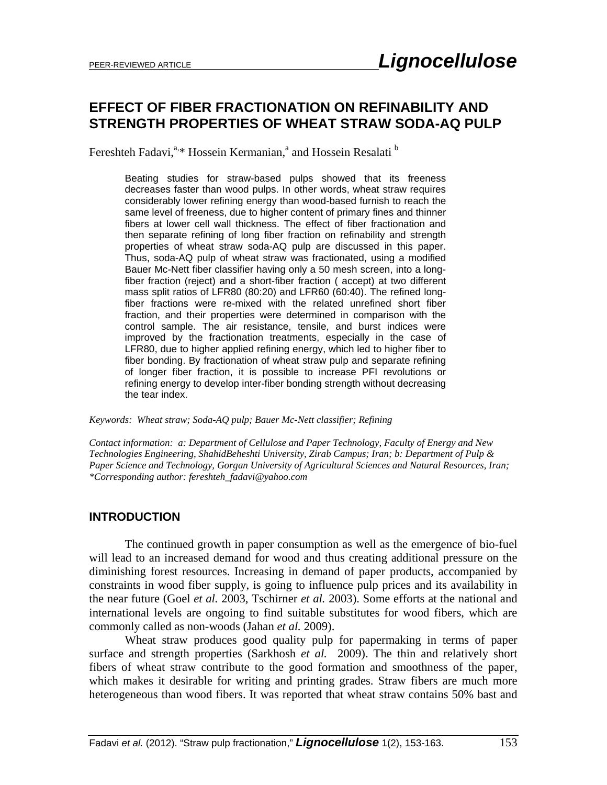# **EFFECT OF FIBER FRACTIONATION ON REFINABILITY AND STRENGTH PROPERTIES OF WHEAT STRAW SODA-AQ PULP**

Fereshteh Fadavi,<sup>a,\*</sup> Hossein Kermanian,<sup>a</sup> and Hossein Resalati <sup>b</sup>

Beating studies for straw-based pulps showed that its freeness decreases faster than wood pulps. In other words, wheat straw requires considerably lower refining energy than wood-based furnish to reach the same level of freeness, due to higher content of primary fines and thinner fibers at lower cell wall thickness. The effect of fiber fractionation and then separate refining of long fiber fraction on refinability and strength properties of wheat straw soda-AQ pulp are discussed in this paper. Thus, soda-AQ pulp of wheat straw was fractionated, using a modified Bauer Mc-Nett fiber classifier having only a 50 mesh screen, into a longfiber fraction (reject) and a short-fiber fraction ( accept) at two different mass split ratios of LFR80 (80:20) and LFR60 (60:40). The refined longfiber fractions were re-mixed with the related unrefined short fiber fraction, and their properties were determined in comparison with the control sample. The air resistance, tensile, and burst indices were improved by the fractionation treatments, especially in the case of LFR80, due to higher applied refining energy, which led to higher fiber to fiber bonding. By fractionation of wheat straw pulp and separate refining of longer fiber fraction, it is possible to increase PFI revolutions or refining energy to develop inter-fiber bonding strength without decreasing the tear index.

*Keywords: Wheat straw; Soda-AQ pulp; Bauer Mc-Nett classifier; Refining* 

*Contact information: a: Department of Cellulose and Paper Technology, Faculty of Energy and New Technologies Engineering, ShahidBeheshti University, Zirab Campus; Iran; b: Department of Pulp & Paper Science and Technology, Gorgan University of Agricultural Sciences and Natural Resources, Iran; \*Corresponding author: fereshteh\_fadavi@yahoo.com* 

#### **INTRODUCTION**

The continued growth in paper consumption as well as the emergence of bio-fuel will lead to an increased demand for wood and thus creating additional pressure on the diminishing forest resources. Increasing in demand of paper products, accompanied by constraints in wood fiber supply, is going to influence pulp prices and its availability in the near future (Goel *et al.* 2003, Tschirner *et al.* 2003). Some efforts at the national and international levels are ongoing to find suitable substitutes for wood fibers, which are commonly called as non-woods (Jahan *et al.* 2009).

Wheat straw produces good quality pulp for papermaking in terms of paper surface and strength properties (Sarkhosh *et al.* 2009). The thin and relatively short fibers of wheat straw contribute to the good formation and smoothness of the paper, which makes it desirable for writing and printing grades. Straw fibers are much more heterogeneous than wood fibers. It was reported that wheat straw contains 50% bast and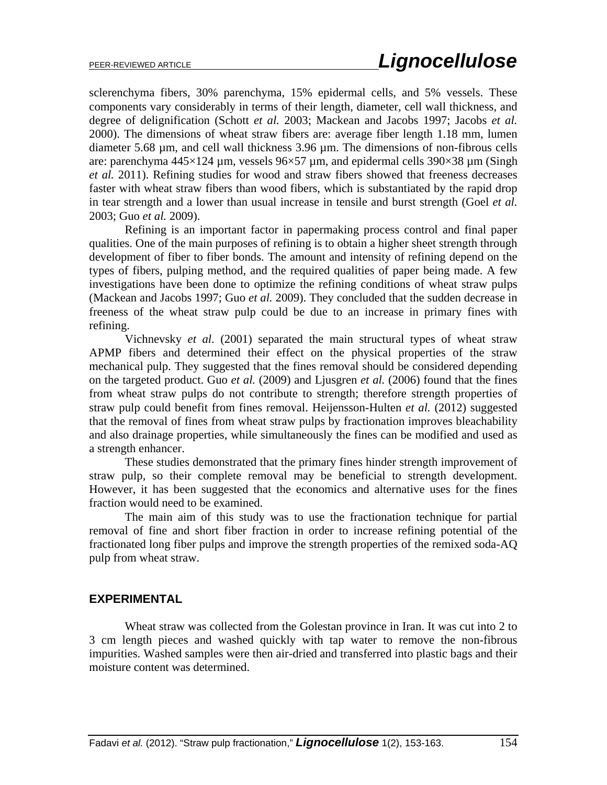sclerenchyma fibers, 30% parenchyma, 15% epidermal cells, and 5% vessels. These components vary considerably in terms of their length, diameter, cell wall thickness, and degree of delignification (Schott *et al.* 2003; Mackean and Jacobs 1997; Jacobs *et al.* 2000). The dimensions of wheat straw fibers are: average fiber length 1.18 mm, lumen diameter 5.68 µm, and cell wall thickness 3.96 µm. The dimensions of non-fibrous cells are: parenchyma  $445\times124$  µm, vessels  $96\times57$  µm, and epidermal cells 390 $\times38$  µm (Singh *et al.* 2011). Refining studies for wood and straw fibers showed that freeness decreases faster with wheat straw fibers than wood fibers, which is substantiated by the rapid drop in tear strength and a lower than usual increase in tensile and burst strength (Goel *et al.* 2003; Guo *et al.* 2009).

Refining is an important factor in papermaking process control and final paper qualities. One of the main purposes of refining is to obtain a higher sheet strength through development of fiber to fiber bonds. The amount and intensity of refining depend on the types of fibers, pulping method, and the required qualities of paper being made. A few investigations have been done to optimize the refining conditions of wheat straw pulps (Mackean and Jacobs 1997; Guo *et al.* 2009). They concluded that the sudden decrease in freeness of the wheat straw pulp could be due to an increase in primary fines with refining.

Vichnevsky *et al*. (2001) separated the main structural types of wheat straw APMP fibers and determined their effect on the physical properties of the straw mechanical pulp. They suggested that the fines removal should be considered depending on the targeted product. Guo *et al.* (2009) and Ljusgren *et al.* (2006) found that the fines from wheat straw pulps do not contribute to strength; therefore strength properties of straw pulp could benefit from fines removal. Heijensson-Hulten *et al.* (2012) suggested that the removal of fines from wheat straw pulps by fractionation improves bleachability and also drainage properties, while simultaneously the fines can be modified and used as a strength enhancer.

These studies demonstrated that the primary fines hinder strength improvement of straw pulp, so their complete removal may be beneficial to strength development. However, it has been suggested that the economics and alternative uses for the fines fraction would need to be examined.

The main aim of this study was to use the fractionation technique for partial removal of fine and short fiber fraction in order to increase refining potential of the fractionated long fiber pulps and improve the strength properties of the remixed soda-AQ pulp from wheat straw.

#### **EXPERIMENTAL**

Wheat straw was collected from the Golestan province in Iran. It was cut into 2 to 3 cm length pieces and washed quickly with tap water to remove the non-fibrous impurities. Washed samples were then air-dried and transferred into plastic bags and their moisture content was determined.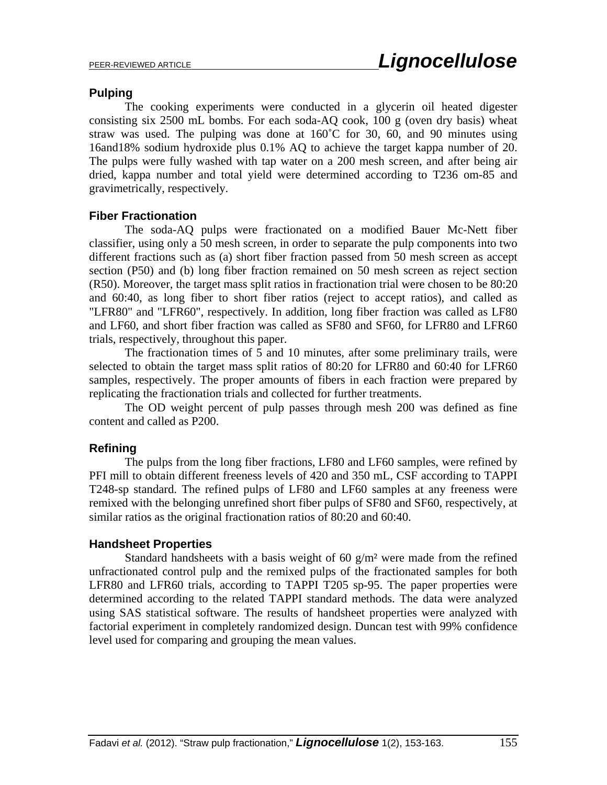#### **Pulping**

The cooking experiments were conducted in a glycerin oil heated digester consisting six 2500 mL bombs. For each soda-AQ cook, 100 g (oven dry basis) wheat straw was used. The pulping was done at  $160^{\circ}$ C for 30, 60, and 90 minutes using 16and18% sodium hydroxide plus 0.1% AQ to achieve the target kappa number of 20. The pulps were fully washed with tap water on a 200 mesh screen, and after being air dried, kappa number and total yield were determined according to T236 om-85 and gravimetrically, respectively.

### **Fiber Fractionation**

The soda-AQ pulps were fractionated on a modified Bauer Mc-Nett fiber classifier, using only a 50 mesh screen, in order to separate the pulp components into two different fractions such as (a) short fiber fraction passed from 50 mesh screen as accept section (P50) and (b) long fiber fraction remained on 50 mesh screen as reject section (R50). Moreover, the target mass split ratios in fractionation trial were chosen to be 80:20 and 60:40, as long fiber to short fiber ratios (reject to accept ratios), and called as "LFR80" and "LFR60", respectively. In addition, long fiber fraction was called as LF80 and LF60, and short fiber fraction was called as SF80 and SF60, for LFR80 and LFR60 trials, respectively, throughout this paper.

The fractionation times of 5 and 10 minutes, after some preliminary trails, were selected to obtain the target mass split ratios of 80:20 for LFR80 and 60:40 for LFR60 samples, respectively. The proper amounts of fibers in each fraction were prepared by replicating the fractionation trials and collected for further treatments.

The OD weight percent of pulp passes through mesh 200 was defined as fine content and called as P200.

### **Refining**

The pulps from the long fiber fractions, LF80 and LF60 samples, were refined by PFI mill to obtain different freeness levels of 420 and 350 mL, CSF according to TAPPI T248-sp standard. The refined pulps of LF80 and LF60 samples at any freeness were remixed with the belonging unrefined short fiber pulps of SF80 and SF60, respectively, at similar ratios as the original fractionation ratios of 80:20 and 60:40.

### **Handsheet Properties**

Standard handsheets with a basis weight of 60  $g/m<sup>2</sup>$  were made from the refined unfractionated control pulp and the remixed pulps of the fractionated samples for both LFR80 and LFR60 trials, according to TAPPI T205 sp-95. The paper properties were determined according to the related TAPPI standard methods. The data were analyzed using SAS statistical software. The results of handsheet properties were analyzed with factorial experiment in completely randomized design. Duncan test with 99% confidence level used for comparing and grouping the mean values.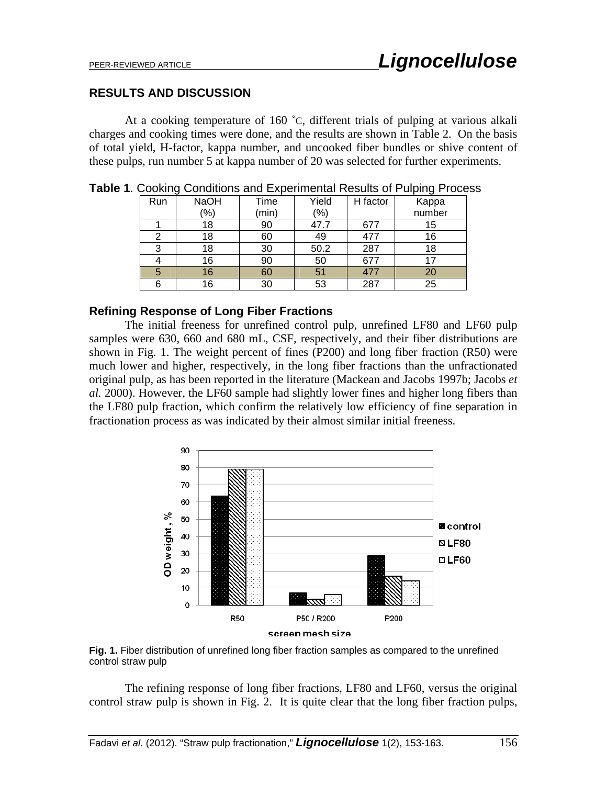#### **RESULTS AND DISCUSSION**

At a cooking temperature of 160 ˚C, different trials of pulping at various alkali charges and cooking times were done, and the results are shown in Table 2. On the basis of total yield, H-factor, kappa number, and uncooked fiber bundles or shive content of these pulps, run number 5 at kappa number of 20 was selected for further experiments.

|     | ັ           |       |               |          |                 |
|-----|-------------|-------|---------------|----------|-----------------|
| Run | <b>NaOH</b> | Time  | Yield         | H factor | Kappa<br>number |
|     | $(\% )$     | (min) | $\frac{1}{2}$ |          |                 |
|     | 18          | 90    | 47.7          | 677      | 15              |
| 2   | 18          | 60    | 49            | 477      | 16              |
| 3   | 18          | 30    | 50.2          | 287      | 18              |
|     | 16          | 90    | 50            | 677      | 17              |
| 5   | 16          | 60    | 51            | 477      | 20              |
| 6   | 16          | 30    | 53            | 287      | 25              |

**Table 1**. Cooking Conditions and Experimental Results of Pulping Process

#### **Refining Response of Long Fiber Fractions**

The initial freeness for unrefined control pulp, unrefined LF80 and LF60 pulp samples were 630, 660 and 680 mL, CSF, respectively, and their fiber distributions are shown in Fig. 1. The weight percent of fines (P200) and long fiber fraction (R50) were much lower and higher, respectively, in the long fiber fractions than the unfractionated original pulp, as has been reported in the literature (Mackean and Jacobs 1997b; Jacobs *et al.* 2000). However, the LF60 sample had slightly lower fines and higher long fibers than the LF80 pulp fraction, which confirm the relatively low efficiency of fine separation in fractionation process as was indicated by their almost similar initial freeness.



**Fig. 1.** Fiber distribution of unrefined long fiber fraction samples as compared to the unrefined control straw pulp

The refining response of long fiber fractions, LF80 and LF60, versus the original control straw pulp is shown in Fig. 2. It is quite clear that the long fiber fraction pulps,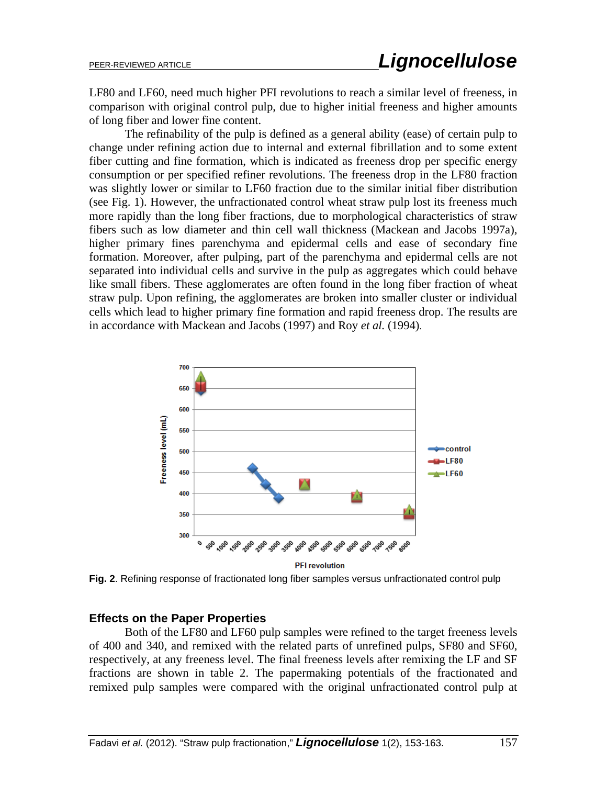LF80 and LF60, need much higher PFI revolutions to reach a similar level of freeness, in comparison with original control pulp, due to higher initial freeness and higher amounts of long fiber and lower fine content.

The refinability of the pulp is defined as a general ability (ease) of certain pulp to change under refining action due to internal and external fibrillation and to some extent fiber cutting and fine formation, which is indicated as freeness drop per specific energy consumption or per specified refiner revolutions. The freeness drop in the LF80 fraction was slightly lower or similar to LF60 fraction due to the similar initial fiber distribution (see Fig. 1). However, the unfractionated control wheat straw pulp lost its freeness much more rapidly than the long fiber fractions, due to morphological characteristics of straw fibers such as low diameter and thin cell wall thickness (Mackean and Jacobs 1997a), higher primary fines parenchyma and epidermal cells and ease of secondary fine formation. Moreover, after pulping, part of the parenchyma and epidermal cells are not separated into individual cells and survive in the pulp as aggregates which could behave like small fibers. These agglomerates are often found in the long fiber fraction of wheat straw pulp. Upon refining, the agglomerates are broken into smaller cluster or individual cells which lead to higher primary fine formation and rapid freeness drop. The results are in accordance with Mackean and Jacobs (1997) and Roy *et al.* (1994).



**Fig. 2**. Refining response of fractionated long fiber samples versus unfractionated control pulp

#### **Effects on the Paper Properties**

Both of the LF80 and LF60 pulp samples were refined to the target freeness levels of 400 and 340, and remixed with the related parts of unrefined pulps, SF80 and SF60, respectively, at any freeness level. The final freeness levels after remixing the LF and SF fractions are shown in table 2. The papermaking potentials of the fractionated and remixed pulp samples were compared with the original unfractionated control pulp at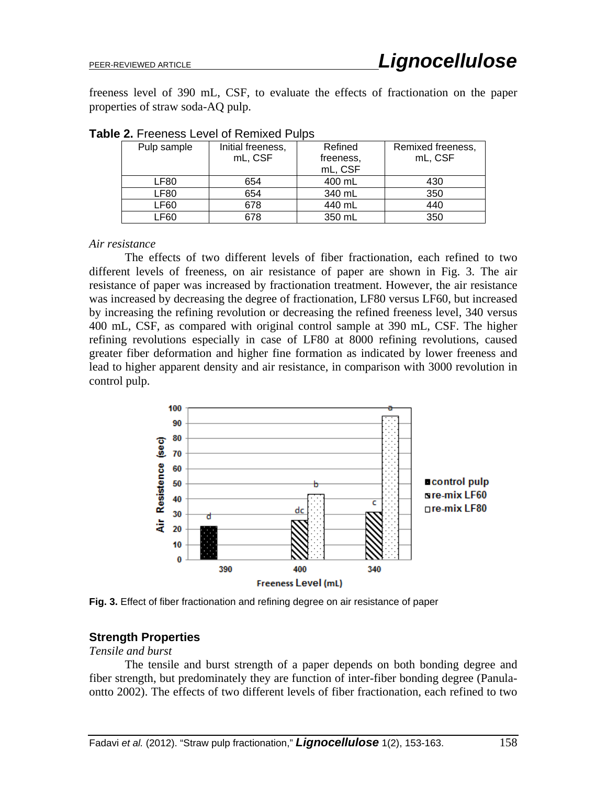freeness level of 390 mL, CSF, to evaluate the effects of fractionation on the paper properties of straw soda-AQ pulp.

| Pulp sample | Initial freeness, | Refined   | Remixed freeness, |  |
|-------------|-------------------|-----------|-------------------|--|
|             | mL, CSF           | freeness, | mL, CSF           |  |
|             |                   | mL, CSF   |                   |  |
| LF80        | 654               | 400 mL    | 430               |  |
| LF80        | 654               | 340 mL    | 350               |  |
| LF60        | 678               | 440 mL    | 440               |  |
| .F60        | 678               | 350 mL    | 350               |  |

**Table 2.** Freeness Level of Remixed Pulps

*Air resistance*

The effects of two different levels of fiber fractionation, each refined to two different levels of freeness, on air resistance of paper are shown in Fig. 3. The air resistance of paper was increased by fractionation treatment. However, the air resistance was increased by decreasing the degree of fractionation, LF80 versus LF60, but increased by increasing the refining revolution or decreasing the refined freeness level, 340 versus 400 mL, CSF, as compared with original control sample at 390 mL, CSF. The higher refining revolutions especially in case of LF80 at 8000 refining revolutions, caused greater fiber deformation and higher fine formation as indicated by lower freeness and lead to higher apparent density and air resistance, in comparison with 3000 revolution in control pulp.



**Fig. 3.** Effect of fiber fractionation and refining degree on air resistance of paper

## **Strength Properties**

*Tensile and burst* 

The tensile and burst strength of a paper depends on both bonding degree and fiber strength, but predominately they are function of inter-fiber bonding degree (Panulaontto 2002). The effects of two different levels of fiber fractionation, each refined to two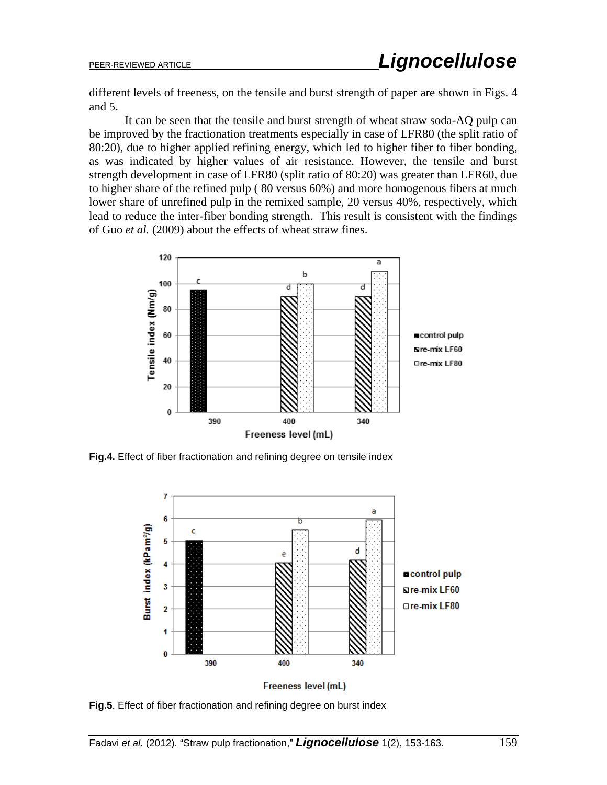different levels of freeness, on the tensile and burst strength of paper are shown in Figs. 4 and 5.

It can be seen that the tensile and burst strength of wheat straw soda-AQ pulp can be improved by the fractionation treatments especially in case of LFR80 (the split ratio of 80:20), due to higher applied refining energy, which led to higher fiber to fiber bonding, as was indicated by higher values of air resistance. However, the tensile and burst strength development in case of LFR80 (split ratio of 80:20) was greater than LFR60, due to higher share of the refined pulp ( 80 versus 60%) and more homogenous fibers at much lower share of unrefined pulp in the remixed sample, 20 versus 40%, respectively, which lead to reduce the inter-fiber bonding strength. This result is consistent with the findings of Guo *et al.* (2009) about the effects of wheat straw fines.



**Fig.4.** Effect of fiber fractionation and refining degree on tensile index



Freeness level (mL)

**Fig.5**. Effect of fiber fractionation and refining degree on burst index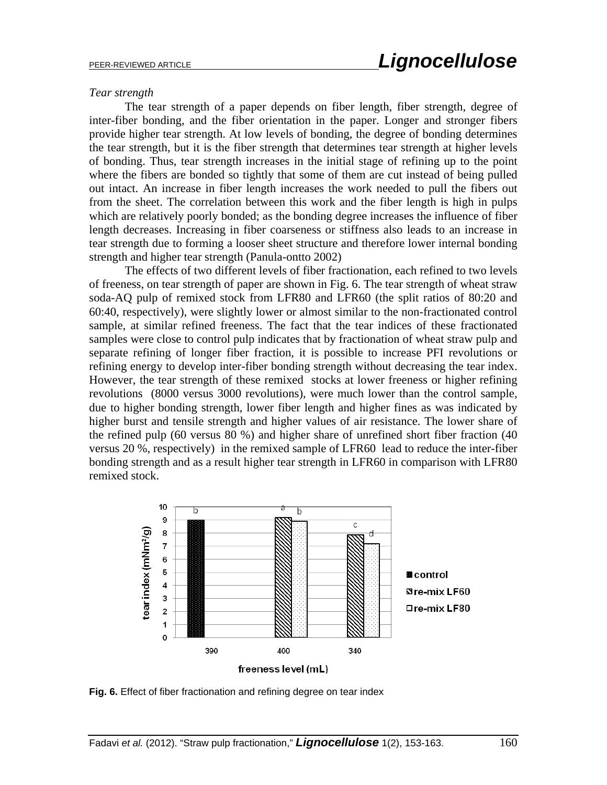#### *Tear strength*

The tear strength of a paper depends on fiber length, fiber strength, degree of inter-fiber bonding, and the fiber orientation in the paper. Longer and stronger fibers provide higher tear strength. At low levels of bonding, the degree of bonding determines the tear strength, but it is the fiber strength that determines tear strength at higher levels of bonding. Thus, tear strength increases in the initial stage of refining up to the point where the fibers are bonded so tightly that some of them are cut instead of being pulled out intact. An increase in fiber length increases the work needed to pull the fibers out from the sheet. The correlation between this work and the fiber length is high in pulps which are relatively poorly bonded; as the bonding degree increases the influence of fiber length decreases. Increasing in fiber coarseness or stiffness also leads to an increase in tear strength due to forming a looser sheet structure and therefore lower internal bonding strength and higher tear strength (Panula-ontto 2002)

The effects of two different levels of fiber fractionation, each refined to two levels of freeness, on tear strength of paper are shown in Fig. 6. The tear strength of wheat straw soda-AQ pulp of remixed stock from LFR80 and LFR60 (the split ratios of 80:20 and 60:40, respectively), were slightly lower or almost similar to the non-fractionated control sample, at similar refined freeness. The fact that the tear indices of these fractionated samples were close to control pulp indicates that by fractionation of wheat straw pulp and separate refining of longer fiber fraction, it is possible to increase PFI revolutions or refining energy to develop inter-fiber bonding strength without decreasing the tear index. However, the tear strength of these remixed stocks at lower freeness or higher refining revolutions (8000 versus 3000 revolutions), were much lower than the control sample, due to higher bonding strength, lower fiber length and higher fines as was indicated by higher burst and tensile strength and higher values of air resistance. The lower share of the refined pulp (60 versus 80 %) and higher share of unrefined short fiber fraction (40 versus 20 %, respectively) in the remixed sample of LFR60 lead to reduce the inter-fiber bonding strength and as a result higher tear strength in LFR60 in comparison with LFR80 remixed stock.



**Fig. 6.** Effect of fiber fractionation and refining degree on tear index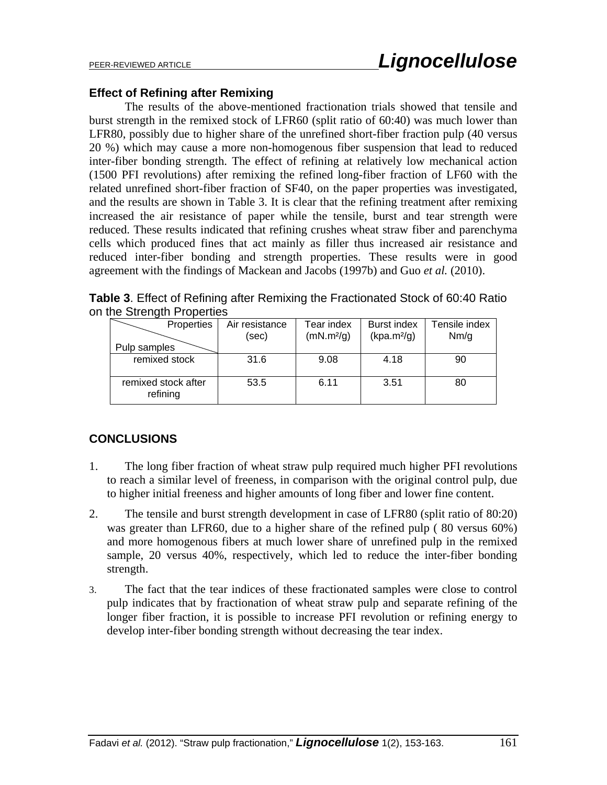#### **Effect of Refining after Remixing**

The results of the above-mentioned fractionation trials showed that tensile and burst strength in the remixed stock of LFR60 (split ratio of 60:40) was much lower than LFR80, possibly due to higher share of the unrefined short-fiber fraction pulp (40 versus 20 %) which may cause a more non-homogenous fiber suspension that lead to reduced inter-fiber bonding strength. The effect of refining at relatively low mechanical action (1500 PFI revolutions) after remixing the refined long-fiber fraction of LF60 with the related unrefined short-fiber fraction of SF40, on the paper properties was investigated, and the results are shown in Table 3. It is clear that the refining treatment after remixing increased the air resistance of paper while the tensile, burst and tear strength were reduced. These results indicated that refining crushes wheat straw fiber and parenchyma cells which produced fines that act mainly as filler thus increased air resistance and reduced inter-fiber bonding and strength properties. These results were in good agreement with the findings of Mackean and Jacobs (1997b) and Guo *et al.* (2010).

**Table 3**. Effect of Refining after Remixing the Fractionated Stock of 60:40 Ratio on the Strength Properties

| Properties                      | Air resistance<br>(sec) | Tear index<br>(mN.m <sup>2</sup> /g) | Burst index<br>(kpa.m <sup>2</sup> /g) | Tensile index<br>Nm/g |
|---------------------------------|-------------------------|--------------------------------------|----------------------------------------|-----------------------|
| Pulp samples                    |                         |                                      |                                        |                       |
| remixed stock                   | 31.6                    | 9.08                                 | 4.18                                   | 90                    |
| remixed stock after<br>refining | 53.5                    | 6.11                                 | 3.51                                   | 80                    |

## **CONCLUSIONS**

- 1. The long fiber fraction of wheat straw pulp required much higher PFI revolutions to reach a similar level of freeness, in comparison with the original control pulp, due to higher initial freeness and higher amounts of long fiber and lower fine content.
- 2. The tensile and burst strength development in case of LFR80 (split ratio of 80:20) was greater than LFR60, due to a higher share of the refined pulp ( 80 versus 60%) and more homogenous fibers at much lower share of unrefined pulp in the remixed sample, 20 versus 40%, respectively, which led to reduce the inter-fiber bonding strength.
- 3. The fact that the tear indices of these fractionated samples were close to control pulp indicates that by fractionation of wheat straw pulp and separate refining of the longer fiber fraction, it is possible to increase PFI revolution or refining energy to develop inter-fiber bonding strength without decreasing the tear index.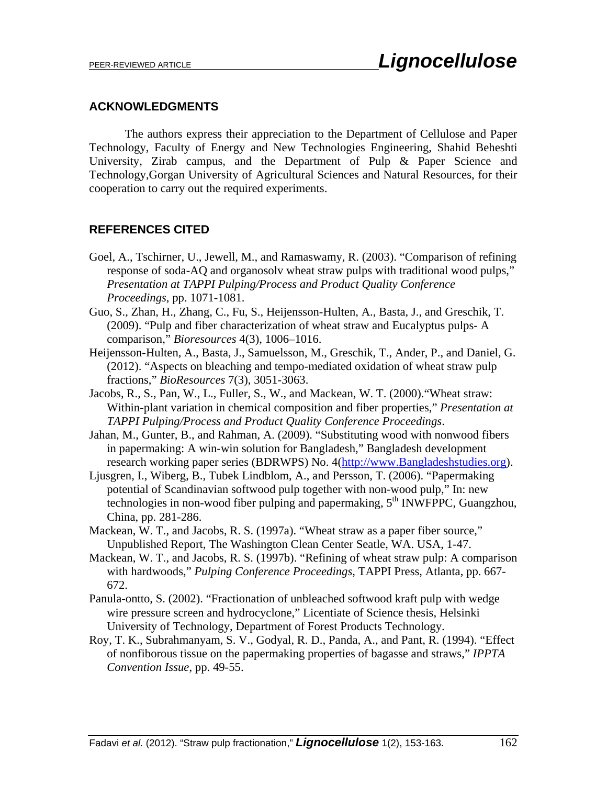#### **ACKNOWLEDGMENTS**

The authors express their appreciation to the Department of Cellulose and Paper Technology, Faculty of Energy and New Technologies Engineering, Shahid Beheshti University, Zirab campus, and the Department of Pulp & Paper Science and Technology,Gorgan University of Agricultural Sciences and Natural Resources, for their cooperation to carry out the required experiments.

### **REFERENCES CITED**

- Goel, A., Tschirner, U., Jewell, M., and Ramaswamy, R. (2003). "Comparison of refining response of soda-AQ and organosolv wheat straw pulps with traditional wood pulps," *Presentation at TAPPI Pulping/Process and Product Quality Conference Proceedings*, pp. 1071-1081.
- Guo, S., Zhan, H., Zhang, C., Fu, S., Heijensson-Hulten, A., Basta, J., and Greschik, T. (2009). "Pulp and fiber characterization of wheat straw and Eucalyptus pulps- A comparison," *Bioresources* 4(3), 1006–1016.
- Heijensson-Hulten, A., Basta, J., Samuelsson, M., Greschik, T., Ander, P., and Daniel, G. (2012). "Aspects on bleaching and tempo-mediated oxidation of wheat straw pulp fractions," *BioResources* 7(3), 3051-3063.
- Jacobs, R., S., Pan, W., L., Fuller, S., W., and Mackean, W. T. (2000)."Wheat straw: Within-plant variation in chemical composition and fiber properties," *Presentation at TAPPI Pulping/Process and Product Quality Conference Proceedings*.
- Jahan, M., Gunter, B., and Rahman, A. (2009). "Substituting wood with nonwood fibers in papermaking: A win-win solution for Bangladesh," Bangladesh development research working paper series (BDRWPS) No. 4(http://www.Bangladeshstudies.org).
- Ljusgren, I., Wiberg, B., Tubek Lindblom, A., and Persson, T. (2006). "Papermaking potential of Scandinavian softwood pulp together with non-wood pulp," In: new technologies in non-wood fiber pulping and papermaking,  $5<sup>th</sup>$  INWFPPC, Guangzhou, China, pp. 281-286.
- Mackean, W. T., and Jacobs, R. S. (1997a). "Wheat straw as a paper fiber source," Unpublished Report, The Washington Clean Center Seatle, WA. USA, 1-47.
- Mackean, W. T., and Jacobs, R. S. (1997b). "Refining of wheat straw pulp: A comparison with hardwoods," *Pulping Conference Proceedings*, TAPPI Press, Atlanta, pp. 667- 672.
- Panula-ontto, S. (2002). "Fractionation of unbleached softwood kraft pulp with wedge wire pressure screen and hydrocyclone," Licentiate of Science thesis, Helsinki University of Technology, Department of Forest Products Technology.
- Roy, T. K., Subrahmanyam, S. V., Godyal, R. D., Panda, A., and Pant, R. (1994). "Effect of nonfiborous tissue on the papermaking properties of bagasse and straws," *IPPTA Convention Issue*, pp. 49-55.